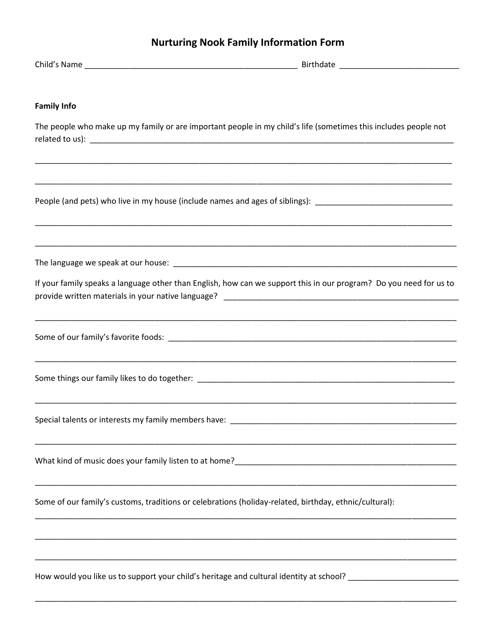## **Nurturing Nook Family Information Form**

| <b>Family Info</b>                                                                                     |                                                                                                                    |
|--------------------------------------------------------------------------------------------------------|--------------------------------------------------------------------------------------------------------------------|
|                                                                                                        | The people who make up my family or are important people in my child's life (sometimes this includes people not    |
|                                                                                                        |                                                                                                                    |
|                                                                                                        | People (and pets) who live in my house (include names and ages of siblings): _________________________________     |
|                                                                                                        |                                                                                                                    |
|                                                                                                        |                                                                                                                    |
|                                                                                                        | If your family speaks a language other than English, how can we support this in our program? Do you need for us to |
|                                                                                                        |                                                                                                                    |
|                                                                                                        |                                                                                                                    |
|                                                                                                        |                                                                                                                    |
|                                                                                                        |                                                                                                                    |
|                                                                                                        |                                                                                                                    |
| Some of our family's customs, traditions or celebrations (holiday-related, birthday, ethnic/cultural): |                                                                                                                    |
|                                                                                                        |                                                                                                                    |
|                                                                                                        | How would you like us to support your child's heritage and cultural identity at school? ______________________     |